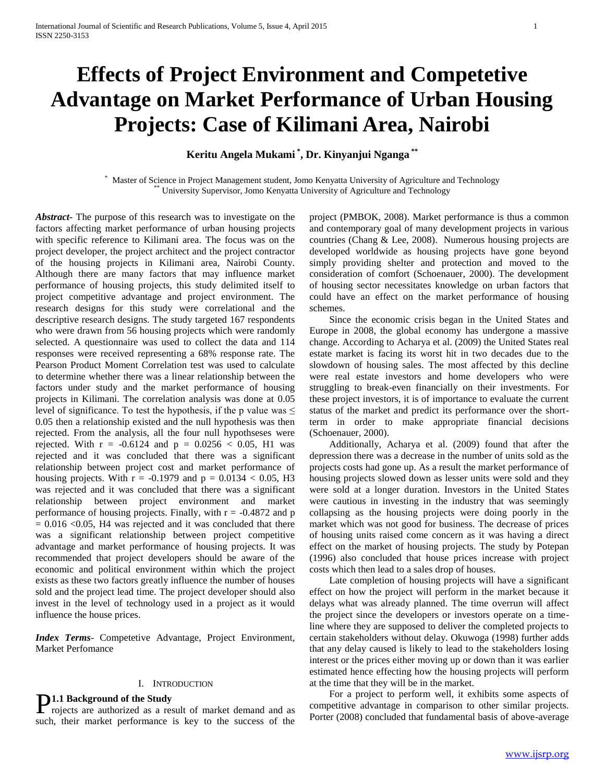# **Effects of Project Environment and Competetive Advantage on Market Performance of Urban Housing Projects: Case of Kilimani Area, Nairobi**

**Keritu Angela Mukami \* , Dr. Kinyanjui Nganga \*\***

Master of Science in Project Management student, Jomo Kenyatta University of Agriculture and Technology University Supervisor, Jomo Kenyatta University of Agriculture and Technology

*Abstract***-** The purpose of this research was to investigate on the factors affecting market performance of urban housing projects with specific reference to Kilimani area. The focus was on the project developer, the project architect and the project contractor of the housing projects in Kilimani area, Nairobi County. Although there are many factors that may influence market performance of housing projects, this study delimited itself to project competitive advantage and project environment. The research designs for this study were correlational and the descriptive research designs. The study targeted 167 respondents who were drawn from 56 housing projects which were randomly selected. A questionnaire was used to collect the data and 114 responses were received representing a 68% response rate. The Pearson Product Moment Correlation test was used to calculate to determine whether there was a linear relationship between the factors under study and the market performance of housing projects in Kilimani. The correlation analysis was done at 0.05 level of significance. To test the hypothesis, if the p value was  $\leq$ 0.05 then a relationship existed and the null hypothesis was then rejected. From the analysis, all the four null hypothseses were rejected. With  $r = -0.6124$  and  $p = 0.0256 < 0.05$ , H1 was rejected and it was concluded that there was a significant relationship between project cost and market performance of housing projects. With  $r = -0.1979$  and  $p = 0.0134 < 0.05$ , H3 was rejected and it was concluded that there was a significant relationship between project environment and market performance of housing projects. Finally, with  $r = -0.4872$  and p  $= 0.016$  <0.05, H4 was rejected and it was concluded that there was a significant relationship between project competitive advantage and market performance of housing projects. It was recommended that project developers should be aware of the economic and political environment within which the project exists as these two factors greatly influence the number of houses sold and the project lead time. The project developer should also invest in the level of technology used in a project as it would influence the house prices.

*Index Terms*- Competetive Advantage, Project Environment, Market Perfomance

# I. INTRODUCTION

**1.1 Background of the Study** 

such, their market performance is key to the success of the

project (PMBOK, 2008). Market performance is thus a common and contemporary goal of many development projects in various countries (Chang & Lee, 2008). Numerous housing projects are developed worldwide as housing projects have gone beyond simply providing shelter and protection and moved to the consideration of comfort (Schoenauer, 2000). The development of housing sector necessitates knowledge on urban factors that could have an effect on the market performance of housing schemes.

 Since the economic crisis began in the United States and Europe in 2008, the global economy has undergone a massive change. According to Acharya et al. (2009) the United States real estate market is facing its worst hit in two decades due to the slowdown of housing sales. The most affected by this decline were real estate investors and home developers who were struggling to break-even financially on their investments. For these project investors, it is of importance to evaluate the current status of the market and predict its performance over the shortterm in order to make appropriate financial decisions (Schoenauer, 2000).

 Additionally, Acharya et al. (2009) found that after the depression there was a decrease in the number of units sold as the projects costs had gone up. As a result the market performance of housing projects slowed down as lesser units were sold and they were sold at a longer duration. Investors in the United States were cautious in investing in the industry that was seemingly collapsing as the housing projects were doing poorly in the market which was not good for business. The decrease of prices of housing units raised come concern as it was having a direct effect on the market of housing projects. The study by Potepan (1996) also concluded that house prices increase with project costs which then lead to a sales drop of houses.

 Late completion of housing projects will have a significant effect on how the project will perform in the market because it delays what was already planned. The time overrun will affect the project since the developers or investors operate on a timeline where they are supposed to deliver the completed projects to certain stakeholders without delay. Okuwoga (1998) further adds that any delay caused is likely to lead to the stakeholders losing interest or the prices either moving up or down than it was earlier estimated hence effecting how the housing projects will perform at the time that they will be in the market.

**P1.1 Background of the Study**<br>
rojects are authorized as a result of market demand and as<br>
Forter (2008) concluded that fundamental basis of above-average<br>
Porter (2008) concluded that fundamental basis of above-average For a project to perform well, it exhibits some aspects of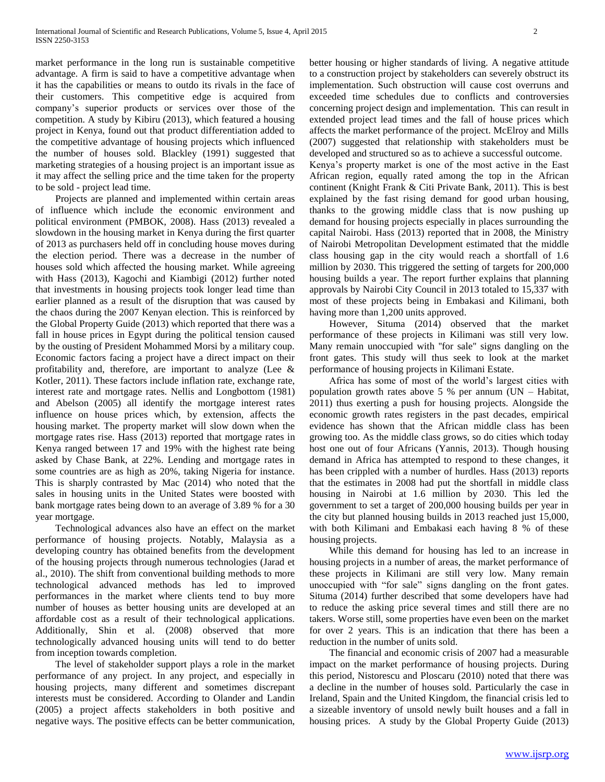market performance in the long run is sustainable competitive advantage. A firm is said to have a competitive advantage when it has the capabilities or means to outdo its rivals in the face of their customers. This competitive edge is acquired from company's superior products or services over those of the competition. A study by Kibiru (2013), which featured a housing project in Kenya, found out that product differentiation added to the competitive advantage of housing projects which influenced the number of houses sold. Blackley (1991) suggested that marketing strategies of a housing project is an important issue as it may affect the selling price and the time taken for the property to be sold - project lead time.

 Projects are planned and implemented within certain areas of influence which include the economic environment and political environment (PMBOK, 2008). Hass (2013) revealed a slowdown in the housing market in Kenya during the first quarter of 2013 as purchasers held off in concluding house moves during the election period. There was a decrease in the number of houses sold which affected the housing market. While agreeing with Hass (2013), Kagochi and Kiambigi (2012) further noted that investments in housing projects took longer lead time than earlier planned as a result of the disruption that was caused by the chaos during the 2007 Kenyan election. This is reinforced by the Global Property Guide (2013) which reported that there was a fall in house prices in Egypt during the political tension caused by the ousting of President Mohammed Morsi by a military coup. Economic factors facing a project have a direct impact on their profitability and, therefore, are important to analyze (Lee & Kotler, 2011). These factors include inflation rate, exchange rate, interest rate and mortgage rates. Nellis and Longbottom (1981) and Abelson (2005) all identify the mortgage interest rates influence on house prices which, by extension, affects the housing market. The property market will slow down when the mortgage rates rise. Hass (2013) reported that mortgage rates in Kenya ranged between 17 and 19% with the highest rate being asked by Chase Bank, at 22%. Lending and mortgage rates in some countries are as high as 20%, taking Nigeria for instance. This is sharply contrasted by Mac (2014) who noted that the sales in housing units in the United States were boosted with bank mortgage rates being down to an average of 3.89 % for a 30 year mortgage.

 Technological advances also have an effect on the market performance of housing projects. Notably, Malaysia as a developing country has obtained benefits from the development of the housing projects through numerous technologies (Jarad et al., 2010). The shift from conventional building methods to more technological advanced methods has led to improved performances in the market where clients tend to buy more number of houses as better housing units are developed at an affordable cost as a result of their technological applications. Additionally, Shin et al. (2008) observed that more technologically advanced housing units will tend to do better from inception towards completion.

 The level of stakeholder support plays a role in the market performance of any project. In any project, and especially in housing projects, many different and sometimes discrepant interests must be considered. According to Olander and Landin (2005) a project affects stakeholders in both positive and negative ways. The positive effects can be better communication,

better housing or higher standards of living. A negative attitude to a construction project by stakeholders can severely obstruct its implementation. Such obstruction will cause cost overruns and exceeded time schedules due to conflicts and controversies concerning project design and implementation. This can result in extended project lead times and the fall of house prices which affects the market performance of the project. McElroy and Mills (2007) suggested that relationship with stakeholders must be developed and structured so as to achieve a successful outcome.

Kenya's property market is one of the most active in the East African region, equally rated among the top in the African continent (Knight Frank & Citi Private Bank, 2011). This is best explained by the fast rising demand for good urban housing, thanks to the growing middle class that is now pushing up demand for housing projects especially in places surrounding the capital Nairobi. Hass (2013) reported that in 2008, the Ministry of Nairobi Metropolitan Development estimated that the middle class housing gap in the city would reach a shortfall of 1.6 million by 2030. This triggered the setting of targets for 200,000 housing builds a year. The report further explains that planning approvals by Nairobi City Council in 2013 totaled to 15,337 with most of these projects being in Embakasi and Kilimani, both having more than 1,200 units approved.

 However, Situma (2014) observed that the market performance of these projects in Kilimani was still very low. Many remain unoccupied with ''for sale'' signs dangling on the front gates. This study will thus seek to look at the market performance of housing projects in Kilimani Estate.

 Africa has some of most of the world's largest cities with population growth rates above 5 % per annum (UN – Habitat, 2011) thus exerting a push for housing projects. Alongside the economic growth rates registers in the past decades, empirical evidence has shown that the African middle class has been growing too. As the middle class grows, so do cities which today host one out of four Africans (Yannis, 2013). Though housing demand in Africa has attempted to respond to these changes, it has been crippled with a number of hurdles. Hass (2013) reports that the estimates in 2008 had put the shortfall in middle class housing in Nairobi at 1.6 million by 2030. This led the government to set a target of 200,000 housing builds per year in the city but planned housing builds in 2013 reached just 15,000, with both Kilimani and Embakasi each having 8 % of these housing projects.

 While this demand for housing has led to an increase in housing projects in a number of areas, the market performance of these projects in Kilimani are still very low. Many remain unoccupied with "for sale" signs dangling on the front gates. Situma (2014) further described that some developers have had to reduce the asking price several times and still there are no takers. Worse still, some properties have even been on the market for over 2 years. This is an indication that there has been a reduction in the number of units sold.

 The financial and economic crisis of 2007 had a measurable impact on the market performance of housing projects. During this period, Nistorescu and Ploscaru (2010) noted that there was a decline in the number of houses sold. Particularly the case in Ireland, Spain and the United Kingdom, the financial crisis led to a sizeable inventory of unsold newly built houses and a fall in housing prices. A study by the Global Property Guide (2013)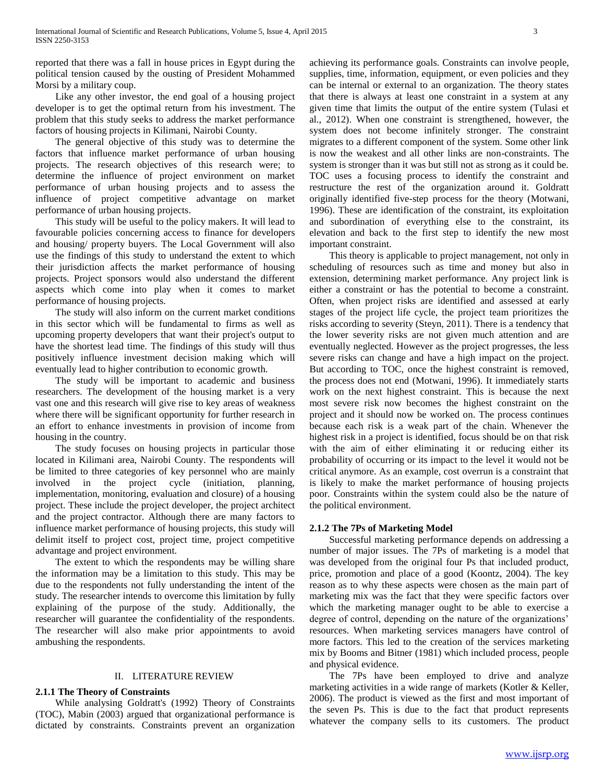reported that there was a fall in house prices in Egypt during the political tension caused by the ousting of President Mohammed Morsi by a military coup.

 Like any other investor, the end goal of a housing project developer is to get the optimal return from his investment. The problem that this study seeks to address the market performance factors of housing projects in Kilimani, Nairobi County.

 The general objective of this study was to determine the factors that influence market performance of urban housing projects. The research objectives of this research were; to determine the influence of project environment on market performance of urban housing projects and to assess the influence of project competitive advantage on market performance of urban housing projects.

 This study will be useful to the policy makers. It will lead to favourable policies concerning access to finance for developers and housing/ property buyers. The Local Government will also use the findings of this study to understand the extent to which their jurisdiction affects the market performance of housing projects. Project sponsors would also understand the different aspects which come into play when it comes to market performance of housing projects.

 The study will also inform on the current market conditions in this sector which will be fundamental to firms as well as upcoming property developers that want their project's output to have the shortest lead time. The findings of this study will thus positively influence investment decision making which will eventually lead to higher contribution to economic growth.

 The study will be important to academic and business researchers. The development of the housing market is a very vast one and this research will give rise to key areas of weakness where there will be significant opportunity for further research in an effort to enhance investments in provision of income from housing in the country.

 The study focuses on housing projects in particular those located in Kilimani area, Nairobi County. The respondents will be limited to three categories of key personnel who are mainly involved in the project cycle (initiation, planning, implementation, monitoring, evaluation and closure) of a housing project. These include the project developer, the project architect and the project contractor. Although there are many factors to influence market performance of housing projects, this study will delimit itself to project cost, project time, project competitive advantage and project environment.

 The extent to which the respondents may be willing share the information may be a limitation to this study. This may be due to the respondents not fully understanding the intent of the study. The researcher intends to overcome this limitation by fully explaining of the purpose of the study. Additionally, the researcher will guarantee the confidentiality of the respondents. The researcher will also make prior appointments to avoid ambushing the respondents.

#### II. LITERATURE REVIEW

# **2.1.1 The Theory of Constraints**

 While analysing Goldratt's (1992) Theory of Constraints (TOC), Mabin (2003) argued that organizational performance is dictated by constraints. Constraints prevent an organization achieving its performance goals. Constraints can involve people, supplies, time, information, equipment, or even policies and they can be internal or external to an organization. The theory states that there is always at least one constraint in a system at any given time that limits the output of the entire system (Tulasi et al., 2012). When one constraint is strengthened, however, the system does not become infinitely stronger. The constraint migrates to a different component of the system. Some other link is now the weakest and all other links are non-constraints. The system is stronger than it was but still not as strong as it could be. TOC uses a focusing process to identify the constraint and restructure the rest of the organization around it. Goldratt originally identified five-step process for the theory (Motwani, 1996). These are identification of the constraint, its exploitation and subordination of everything else to the constraint, its elevation and back to the first step to identify the new most important constraint.

 This theory is applicable to project management, not only in scheduling of resources such as time and money but also in extension, determining market performance. Any project link is either a constraint or has the potential to become a constraint. Often, when project risks are identified and assessed at early stages of the project life cycle, the project team prioritizes the risks according to severity (Steyn, 2011). There is a tendency that the lower severity risks are not given much attention and are eventually neglected. However as the project progresses, the less severe risks can change and have a high impact on the project. But according to TOC, once the highest constraint is removed, the process does not end (Motwani, 1996). It immediately starts work on the next highest constraint. This is because the next most severe risk now becomes the highest constraint on the project and it should now be worked on. The process continues because each risk is a weak part of the chain. Whenever the highest risk in a project is identified, focus should be on that risk with the aim of either eliminating it or reducing either its probability of occurring or its impact to the level it would not be critical anymore. As an example, cost overrun is a constraint that is likely to make the market performance of housing projects poor*.* Constraints within the system could also be the nature of the political environment.

#### **2.1.2 The 7Ps of Marketing Model**

 Successful marketing performance depends on addressing a number of major issues. The 7Ps of marketing is a model that was developed from the original four Ps that included product, price, promotion and place of a good (Koontz, 2004). The key reason as to why these aspects were chosen as the main part of marketing mix was the fact that they were specific factors over which the marketing manager ought to be able to exercise a degree of control, depending on the nature of the organizations' resources. When marketing services managers have control of more factors. This led to the creation of the services marketing mix by Booms and Bitner (1981) which included process, people and physical evidence.

 The 7Ps have been employed to drive and analyze marketing activities in a wide range of markets (Kotler & Keller, 2006). The product is viewed as the first and most important of the seven Ps. This is due to the fact that product represents whatever the company sells to its customers. The product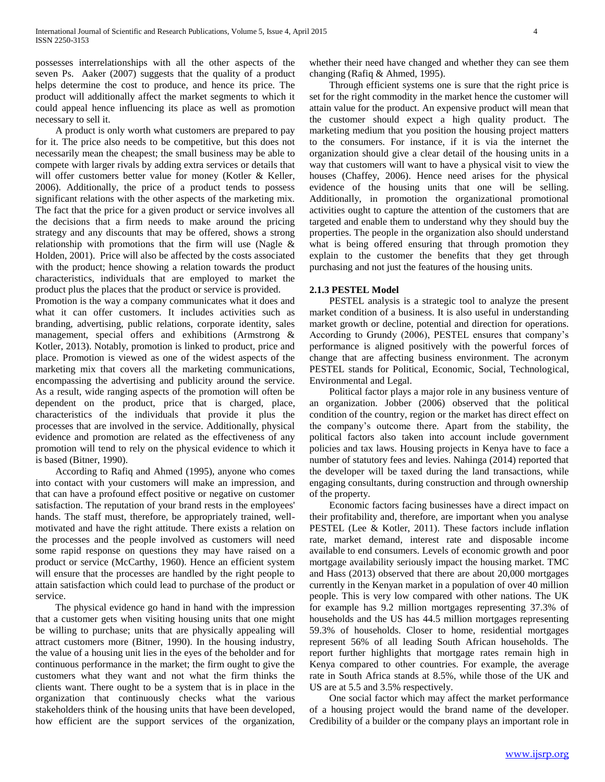possesses interrelationships with all the other aspects of the seven Ps. Aaker (2007) suggests that the quality of a product helps determine the cost to produce, and hence its price. The product will additionally affect the market segments to which it could appeal hence influencing its place as well as promotion necessary to sell it.

 A product is only worth what customers are prepared to pay for it. The price also needs to be competitive, but this does not necessarily mean the cheapest; the small business may be able to compete with larger rivals by adding extra services or details that will offer customers better value for money (Kotler & Keller, 2006). Additionally, the price of a product tends to possess significant relations with the other aspects of the marketing mix. The fact that the price for a given product or service involves all the decisions that a firm needs to make around the pricing strategy and any discounts that may be offered, shows a strong relationship with promotions that the firm will use (Nagle & Holden, 2001). Price will also be affected by the costs associated with the product; hence showing a relation towards the product characteristics, individuals that are employed to market the product plus the places that the product or service is provided.

Promotion is the way a company communicates what it does and what it can offer customers. It includes activities such as branding, advertising, public relations, corporate identity, sales management, special offers and exhibitions (Armstrong & Kotler, 2013). Notably, promotion is linked to product, price and place. Promotion is viewed as one of the widest aspects of the marketing mix that covers all the marketing communications, encompassing the advertising and publicity around the service. As a result, wide ranging aspects of the promotion will often be dependent on the product, price that is charged, place, characteristics of the individuals that provide it plus the processes that are involved in the service. Additionally, physical evidence and promotion are related as the effectiveness of any promotion will tend to rely on the physical evidence to which it is based (Bitner, 1990).

 According to Rafiq and Ahmed (1995), anyone who comes into contact with your customers will make an impression, and that can have a profound effect positive or negative on customer satisfaction. The reputation of your brand rests in the employees' hands. The staff must, therefore, be appropriately trained, wellmotivated and have the right attitude. There exists a relation on the processes and the people involved as customers will need some rapid response on questions they may have raised on a product or service (McCarthy, 1960). Hence an efficient system will ensure that the processes are handled by the right people to attain satisfaction which could lead to purchase of the product or service.

 The physical evidence go hand in hand with the impression that a customer gets when visiting housing units that one might be willing to purchase; units that are physically appealing will attract customers more (Bitner, 1990). In the housing industry, the value of a housing unit lies in the eyes of the beholder and for continuous performance in the market; the firm ought to give the customers what they want and not what the firm thinks the clients want. There ought to be a system that is in place in the organization that continuously checks what the various stakeholders think of the housing units that have been developed, how efficient are the support services of the organization,

whether their need have changed and whether they can see them changing (Rafiq & Ahmed, 1995).

 Through efficient systems one is sure that the right price is set for the right commodity in the market hence the customer will attain value for the product. An expensive product will mean that the customer should expect a high quality product. The marketing medium that you position the housing project matters to the consumers. For instance, if it is via the internet the organization should give a clear detail of the housing units in a way that customers will want to have a physical visit to view the houses (Chaffey, 2006). Hence need arises for the physical evidence of the housing units that one will be selling. Additionally, in promotion the organizational promotional activities ought to capture the attention of the customers that are targeted and enable them to understand why they should buy the properties. The people in the organization also should understand what is being offered ensuring that through promotion they explain to the customer the benefits that they get through purchasing and not just the features of the housing units.

### **2.1.3 PESTEL Model**

 PESTEL analysis is a strategic tool to analyze the present market condition of a business. It is also useful in understanding market growth or decline, potential and direction for operations. According to Grundy (2006), PESTEL ensures that company's performance is aligned positively with the powerful forces of change that are affecting business environment. The acronym PESTEL stands for Political, Economic, Social, Technological, Environmental and Legal.

 Political factor plays a major role in any business venture of an organization. Jobber (2006) observed that the political condition of the country, region or the market has direct effect on the company's outcome there. Apart from the stability, the political factors also taken into account include government policies and tax laws. Housing projects in Kenya have to face a number of statutory fees and levies. Nahinga (2014) reported that the developer will be taxed during the land transactions, while engaging consultants, during construction and through ownership of the property.

 Economic factors facing businesses have a direct impact on their profitability and, therefore, are important when you analyse PESTEL (Lee & Kotler, 2011). These factors include inflation rate, market demand, interest rate and disposable income available to end consumers. Levels of economic growth and poor mortgage availability seriously impact the housing market. TMC and Hass (2013) observed that there are about 20,000 mortgages currently in the Kenyan market in a population of over 40 million people. This is very low compared with other nations. The UK for example has 9.2 million mortgages representing 37.3% of households and the US has 44.5 million mortgages representing 59.3% of households. Closer to home, residential mortgages represent 56% of all leading South African households. The report further highlights that mortgage rates remain high in Kenya compared to other countries. For example, the average rate in South Africa stands at 8.5%, while those of the UK and US are at 5.5 and 3.5% respectively.

 One social factor which may affect the market performance of a housing project would the brand name of the developer. Credibility of a builder or the company plays an important role in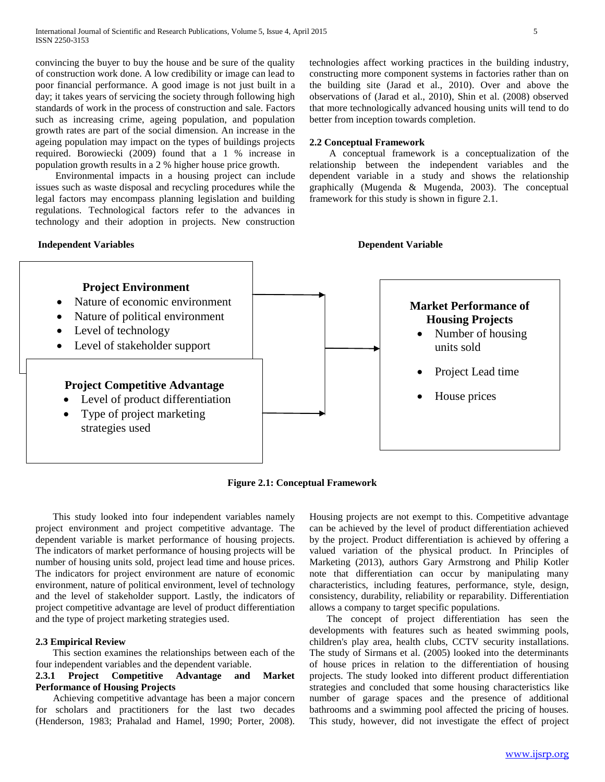convincing the buyer to buy the house and be sure of the quality of construction work done. A low credibility or image can lead to poor financial performance. A good image is not just built in a day; it takes years of servicing the society through following high standards of work in the process of construction and sale. Factors such as increasing crime, ageing population, and population growth rates are part of the social dimension. An increase in the ageing population may impact on the types of buildings projects required. Borowiecki (2009) found that a 1 % increase in population growth results in a 2 % higher house price growth.

 Environmental impacts in a housing project can include issues such as waste disposal and recycling procedures while the legal factors may encompass planning legislation and building regulations. Technological factors refer to the advances in technology and their adoption in projects. New construction

## **Independent Variables Dependent Variable**

technologies affect working practices in the building industry, constructing more component systems in factories rather than on the building site (Jarad et al., 2010). Over and above the observations of (Jarad et al., 2010), Shin et al. (2008) observed that more technologically advanced housing units will tend to do better from inception towards completion.

### **2.2 Conceptual Framework**

 A conceptual framework is a conceptualization of the relationship between the independent variables and the dependent variable in a study and shows the relationship graphically (Mugenda & Mugenda, 2003). The conceptual framework for this study is shown in figure 2.1.



**Figure 2.1: Conceptual Framework**

 This study looked into four independent variables namely project environment and project competitive advantage. The dependent variable is market performance of housing projects. The indicators of market performance of housing projects will be number of housing units sold, project lead time and house prices. The indicators for project environment are nature of economic environment, nature of political environment, level of technology and the level of stakeholder support. Lastly, the indicators of project competitive advantage are level of product differentiation and the type of project marketing strategies used.

#### **2.3 Empirical Review**

 This section examines the relationships between each of the four independent variables and the dependent variable.

# **2.3.1 Project Competitive Advantage and Market Performance of Housing Projects**

 Achieving competitive advantage has been a major concern for scholars and practitioners for the last two decades (Henderson, 1983; Prahalad and Hamel, 1990; Porter, 2008). Housing projects are not exempt to this. Competitive advantage can be achieved by the level of product differentiation achieved by the project. Product differentiation is achieved by offering a valued variation of the physical product. In Principles of Marketing (2013), authors Gary Armstrong and Philip Kotler note that differentiation can occur by manipulating many characteristics, including features, performance, style, design, consistency, durability, reliability or reparability. Differentiation allows a company to target specific populations.

 The concept of project differentiation has seen the developments with features such as heated swimming pools, children's play area, health clubs, CCTV security installations. The study of Sirmans et al. (2005) looked into the determinants of house prices in relation to the differentiation of housing projects. The study looked into different product differentiation strategies and concluded that some housing characteristics like number of garage spaces and the presence of additional bathrooms and a swimming pool affected the pricing of houses. This study, however, did not investigate the effect of project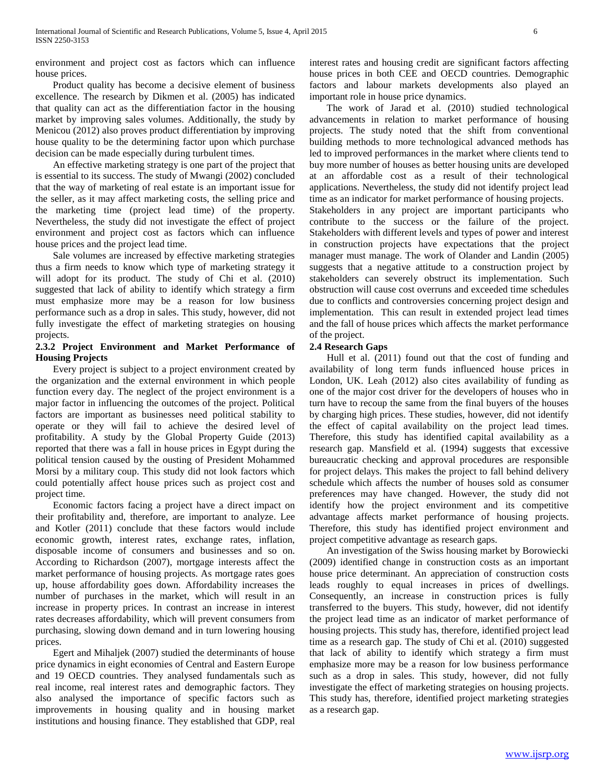environment and project cost as factors which can influence house prices.

 Product quality has become a decisive element of business excellence. The research by Dikmen et al. (2005) has indicated that quality can act as the differentiation factor in the housing market by improving sales volumes. Additionally, the study by Menicou (2012) also proves product differentiation by improving house quality to be the determining factor upon which purchase decision can be made especially during turbulent times.

 An effective marketing strategy is one part of the project that is essential to its success. The study of Mwangi (2002) concluded that the way of marketing of real estate is an important issue for the seller, as it may affect marketing costs, the selling price and the marketing time (project lead time) of the property. Nevertheless, the study did not investigate the effect of project environment and project cost as factors which can influence house prices and the project lead time.

 Sale volumes are increased by effective marketing strategies thus a firm needs to know which type of marketing strategy it will adopt for its product. The study of Chi et al. (2010) suggested that lack of ability to identify which strategy a firm must emphasize more may be a reason for low business performance such as a drop in sales. This study, however, did not fully investigate the effect of marketing strategies on housing projects.

# **2.3.2 Project Environment and Market Performance of Housing Projects**

 Every project is subject to a project environment created by the organization and the external environment in which people function every day. The neglect of the project environment is a major factor in influencing the outcomes of the project. Political factors are important as businesses need political stability to operate or they will fail to achieve the desired level of profitability. A study by the Global Property Guide (2013) reported that there was a fall in house prices in Egypt during the political tension caused by the ousting of President Mohammed Morsi by a military coup. This study did not look factors which could potentially affect house prices such as project cost and project time.

 Economic factors facing a project have a direct impact on their profitability and, therefore, are important to analyze. Lee and Kotler (2011) conclude that these factors would include economic growth, interest rates, exchange rates, inflation, disposable income of consumers and businesses and so on. According to Richardson (2007), mortgage interests affect the market performance of housing projects. As mortgage rates goes up, house affordability goes down. Affordability increases the number of purchases in the market, which will result in an increase in property prices. In contrast an increase in interest rates decreases affordability, which will prevent consumers from purchasing, slowing down demand and in turn lowering housing prices.

 Egert and Mihaljek (2007) studied the determinants of house price dynamics in eight economies of Central and Eastern Europe and 19 OECD countries. They analysed fundamentals such as real income, real interest rates and demographic factors. They also analysed the importance of specific factors such as improvements in housing quality and in housing market institutions and housing finance. They established that GDP, real

interest rates and housing credit are significant factors affecting house prices in both CEE and OECD countries. Demographic factors and labour markets developments also played an important role in house price dynamics.

 The work of Jarad et al. (2010) studied technological advancements in relation to market performance of housing projects. The study noted that the shift from conventional building methods to more technological advanced methods has led to improved performances in the market where clients tend to buy more number of houses as better housing units are developed at an affordable cost as a result of their technological applications. Nevertheless, the study did not identify project lead time as an indicator for market performance of housing projects. Stakeholders in any project are important participants who contribute to the success or the failure of the project. Stakeholders with different levels and types of power and interest in construction projects have expectations that the project manager must manage. The work of Olander and Landin (2005) suggests that a negative attitude to a construction project by stakeholders can severely obstruct its implementation. Such obstruction will cause cost overruns and exceeded time schedules due to conflicts and controversies concerning project design and implementation. This can result in extended project lead times and the fall of house prices which affects the market performance of the project.

# **2.4 Research Gaps**

 Hull et al. (2011) found out that the cost of funding and availability of long term funds influenced house prices in London, UK. Leah (2012) also cites availability of funding as one of the major cost driver for the developers of houses who in turn have to recoup the same from the final buyers of the houses by charging high prices. These studies, however, did not identify the effect of capital availability on the project lead times. Therefore, this study has identified capital availability as a research gap. Mansfield et al. (1994) suggests that excessive bureaucratic checking and approval procedures are responsible for project delays. This makes the project to fall behind delivery schedule which affects the number of houses sold as consumer preferences may have changed. However, the study did not identify how the project environment and its competitive advantage affects market performance of housing projects. Therefore, this study has identified project environment and project competitive advantage as research gaps.

 An investigation of the Swiss housing market by Borowiecki (2009) identified change in construction costs as an important house price determinant. An appreciation of construction costs leads roughly to equal increases in prices of dwellings. Consequently, an increase in construction prices is fully transferred to the buyers. This study, however, did not identify the project lead time as an indicator of market performance of housing projects. This study has, therefore, identified project lead time as a research gap. The study of Chi et al. (2010) suggested that lack of ability to identify which strategy a firm must emphasize more may be a reason for low business performance such as a drop in sales. This study, however, did not fully investigate the effect of marketing strategies on housing projects. This study has, therefore, identified project marketing strategies as a research gap.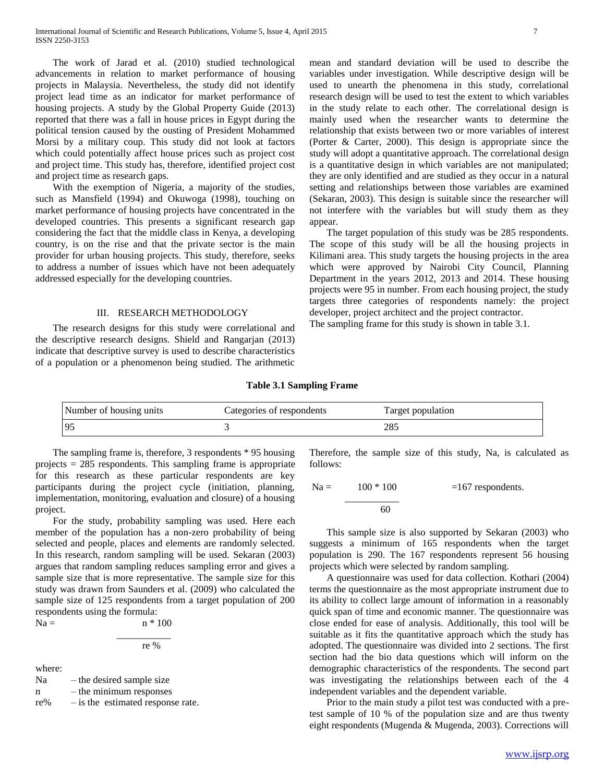The work of Jarad et al. (2010) studied technological advancements in relation to market performance of housing projects in Malaysia. Nevertheless, the study did not identify project lead time as an indicator for market performance of housing projects. A study by the Global Property Guide (2013) reported that there was a fall in house prices in Egypt during the political tension caused by the ousting of President Mohammed Morsi by a military coup. This study did not look at factors which could potentially affect house prices such as project cost and project time. This study has, therefore, identified project cost and project time as research gaps.

 With the exemption of Nigeria, a majority of the studies, such as Mansfield (1994) and Okuwoga (1998), touching on market performance of housing projects have concentrated in the developed countries. This presents a significant research gap considering the fact that the middle class in Kenya, a developing country, is on the rise and that the private sector is the main provider for urban housing projects. This study, therefore, seeks to address a number of issues which have not been adequately addressed especially for the developing countries.

#### III. RESEARCH METHODOLOGY

 The research designs for this study were correlational and the descriptive research designs. Shield and Rangarjan (2013) indicate that descriptive survey is used to describe characteristics of a population or a phenomenon being studied. The arithmetic mean and standard deviation will be used to describe the variables under investigation. While descriptive design will be used to unearth the phenomena in this study, correlational research design will be used to test the extent to which variables in the study relate to each other. The correlational design is mainly used when the researcher wants to determine the relationship that exists between two or more variables of interest (Porter & Carter, 2000). This design is appropriate since the study will adopt a quantitative approach. The correlational design is a quantitative design in which variables are not manipulated; they are only identified and are studied as they occur in a natural setting and relationships between those variables are examined (Sekaran, 2003). This design is suitable since the researcher will not interfere with the variables but will study them as they appear.

 The target population of this study was be 285 respondents. The scope of this study will be all the housing projects in Kilimani area. This study targets the housing projects in the area which were approved by Nairobi City Council, Planning Department in the years 2012, 2013 and 2014. These housing projects were 95 in number. From each housing project, the study targets three categories of respondents namely: the project developer, project architect and the project contractor.

The sampling frame for this study is shown in table 3.1.

#### **Table 3.1 Sampling Frame**

| Number of housing units | Categories of respondents | Target population |
|-------------------------|---------------------------|-------------------|
| 95                      |                           | 285               |

 The sampling frame is, therefore, 3 respondents \* 95 housing projects = 285 respondents. This sampling frame is appropriate for this research as these particular respondents are key participants during the project cycle (initiation, planning, implementation, monitoring, evaluation and closure) of a housing project.

 For the study, probability sampling was used. Here each member of the population has a non-zero probability of being selected and people, places and elements are randomly selected. In this research, random sampling will be used. Sekaran (2003) argues that random sampling reduces sampling error and gives a sample size that is more representative. The sample size for this study was drawn from Saunders et al. (2009) who calculated the sample size of 125 respondents from a target population of 200 respondents using the formula:

 $Na =$   $n * 100$ 

 \_\_\_\_\_\_\_\_\_\_\_ re %

where:

 $Na$  – the desired sample size n – the minimum responses re% – is the estimated response rate. Therefore, the sample size of this study, Na, is calculated as follows:

$$
Na = \frac{100 * 100}{60} = 167
$$
respondents.

 This sample size is also supported by Sekaran (2003) who suggests a minimum of 165 respondents when the target population is 290. The 167 respondents represent 56 housing projects which were selected by random sampling.

 A questionnaire was used for data collection. Kothari (2004) terms the questionnaire as the most appropriate instrument due to its ability to collect large amount of information in a reasonably quick span of time and economic manner. The questionnaire was close ended for ease of analysis. Additionally, this tool will be suitable as it fits the quantitative approach which the study has adopted. The questionnaire was divided into 2 sections. The first section had the bio data questions which will inform on the demographic characteristics of the respondents. The second part was investigating the relationships between each of the 4 independent variables and the dependent variable.

 Prior to the main study a pilot test was conducted with a pretest sample of 10 % of the population size and are thus twenty eight respondents (Mugenda & Mugenda, 2003). Corrections will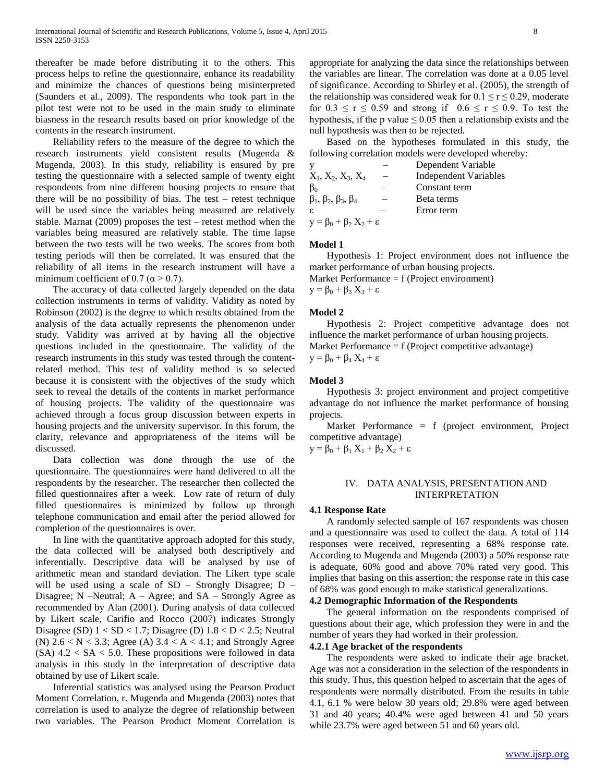thereafter be made before distributing it to the others. This process helps to refine the questionnaire, enhance its readability and minimize the chances of questions being misinterpreted (Saunders et al., 2009). The respondents who took part in the pilot test were not to be used in the main study to eliminate biasness in the research results based on prior knowledge of the contents in the research instrument.

 Reliability refers to the measure of the degree to which the research instruments yield consistent results (Mugenda & Mugenda, 2003). In this study, reliability is ensured by pre testing the questionnaire with a selected sample of twenty eight respondents from nine different housing projects to ensure that there will be no possibility of bias. The test – retest technique will be used since the variables being measured are relatively stable. Marnat (2009) proposes the test – retest method when the variables being measured are relatively stable. The time lapse between the two tests will be two weeks. The scores from both testing periods will then be correlated. It was ensured that the reliability of all items in the research instrument will have a minimum coefficient of 0.7 ( $\alpha$  > 0.7).

 The accuracy of data collected largely depended on the data collection instruments in terms of validity. Validity as noted by Robinson (2002) is the degree to which results obtained from the analysis of the data actually represents the phenomenon under study. Validity was arrived at by having all the objective questions included in the questionnaire. The validity of the research instruments in this study was tested through the contentrelated method. This test of validity method is so selected because it is consistent with the objectives of the study which seek to reveal the details of the contents in market performance of housing projects. The validity of the questionnaire was achieved through a focus group discussion between experts in housing projects and the university supervisor. In this forum, the clarity, relevance and appropriateness of the items will be discussed.

 Data collection was done through the use of the questionnaire. The questionnaires were hand delivered to all the respondents by the researcher. The researcher then collected the filled questionnaires after a week. Low rate of return of duly filled questionnaires is minimized by follow up through telephone communication and email after the period allowed for completion of the questionnaires is over.

 In line with the quantitative approach adopted for this study, the data collected will be analysed both descriptively and inferentially. Descriptive data will be analysed by use of arithmetic mean and standard deviation. The Likert type scale will be used using a scale of  $SD$  – Strongly Disagree;  $D$  – Disagree;  $N$  –Neutral;  $A$  – Agree; and  $SA$  – Strongly Agree as recommended by Alan (2001). During analysis of data collected by Likert scale, Carifio and Rocco (2007) indicates Strongly Disagree (SD)  $1 < SD < 1.7$ ; Disagree (D)  $1.8 < D < 2.5$ ; Neutral (N)  $2.6 < N < 3.3$ ; Agree (A)  $3.4 < A < 4.1$ ; and Strongly Agree  $(SA)$  4.2 < SA < 5.0. These propositions were followed in data analysis in this study in the interpretation of descriptive data obtained by use of Likert scale.

 Inferential statistics was analysed using the Pearson Product Moment Correlation, r. Mugenda and Mugenda (2003) notes that correlation is used to analyze the degree of relationship between two variables. The Pearson Product Moment Correlation is

appropriate for analyzing the data since the relationships between the variables are linear. The correlation was done at a 0.05 level of significance. According to Shirley et al. (2005), the strength of the relationship was considered weak for  $0.1 \le r \le 0.29$ , moderate for  $0.3 \le r \le 0.59$  and strong if  $0.6 \le r \le 0.9$ . To test the hypothesis, if the p value  $\leq 0.05$  then a relationship exists and the null hypothesis was then to be rejected.

 Based on the hypotheses formulated in this study, the following correlation models were developed whereby:

|                                               | Dependent Variable           |
|-----------------------------------------------|------------------------------|
| $X_1, X_2, X_3, X_4$                          | <b>Independent Variables</b> |
| ßο                                            | Constant term                |
| $\beta_1$ , $\beta_2$ , $\beta_3$ , $\beta_4$ | Beta terms                   |
| ε.                                            | Error term                   |
| $y = \beta_0 + \beta_2 X_2 + \varepsilon$     |                              |

### **Model 1**

 Hypothesis 1: Project environment does not influence the market performance of urban housing projects.

Market Performance = f (Project environment)  $y = \beta_0 + \beta_3 X_3 + \varepsilon$ 

#### **Model 2**

 Hypothesis 2: Project competitive advantage does not influence the market performance of urban housing projects. Market Performance = f (Project competitive advantage)  $y = \beta_0 + \beta_4 X_4 + \varepsilon$ 

### **Model 3**

 Hypothesis 3: project environment and project competitive advantage do not influence the market performance of housing projects.

 Market Performance = f (project environment, Project competitive advantage)

 $y = \beta_0 + \beta_1 X_1 + \beta_2 X_2 + \varepsilon$ 

#### IV. DATA ANALYSIS, PRESENTATION AND INTERPRETATION

#### **4.1 Response Rate**

 A randomly selected sample of 167 respondents was chosen and a questionnaire was used to collect the data. A total of 114 responses were received, representing a 68% response rate. According to Mugenda and Mugenda (2003) a 50% response rate is adequate, 60% good and above 70% rated very good. This implies that basing on this assertion; the response rate in this case of 68% was good enough to make statistical generalizations.

#### **4.2 Demographic Information of the Respondents**

 The general information on the respondents comprised of questions about their age, which profession they were in and the number of years they had worked in their profession.

#### **4.2.1 Age bracket of the respondents**

 The respondents were asked to indicate their age bracket. Age was not a consideration in the selection of the respondents in this study. Thus, this question helped to ascertain that the ages of respondents were normally distributed. From the results in table 4.1, 6.1 % were below 30 years old; 29.8% were aged between 31 and 40 years; 40.4% were aged between 41 and 50 years while 23.7% were aged between 51 and 60 years old.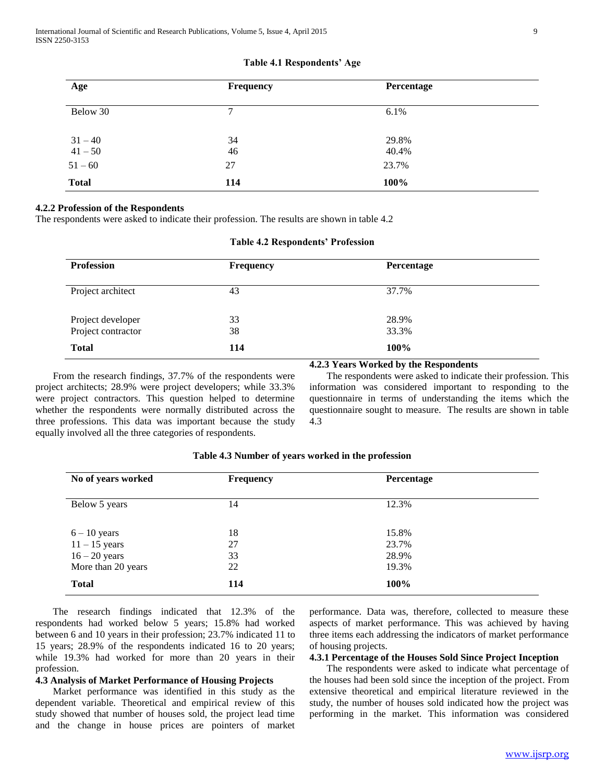| Age                    | Frequency     | Percentage     |
|------------------------|---------------|----------------|
| Below 30               | $\mathcal{I}$ | 6.1%           |
| $31 - 40$<br>$41 - 50$ | 34<br>46      | 29.8%<br>40.4% |
| $51 - 60$              | 27            | 23.7%          |
| <b>Total</b>           | 114           | 100%           |

#### **Table 4.1 Respondents' Age**

# **4.2.2 Profession of the Respondents**

The respondents were asked to indicate their profession. The results are shown in table 4.2

| <b>Profession</b>                  | Frequency | Percentage     |  |
|------------------------------------|-----------|----------------|--|
| Project architect                  | 43        | 37.7%          |  |
| Project developer                  | 33        | 28.9%<br>33.3% |  |
| Project contractor<br><b>Total</b> | 38<br>114 | 100%           |  |

# **Table 4.2 Respondents' Profession**

 From the research findings, 37.7% of the respondents were project architects; 28.9% were project developers; while 33.3% were project contractors. This question helped to determine whether the respondents were normally distributed across the three professions. This data was important because the study equally involved all the three categories of respondents.

 The respondents were asked to indicate their profession. This information was considered important to responding to the questionnaire in terms of understanding the items which the questionnaire sought to measure. The results are shown in table

**4.2.3 Years Worked by the Respondents**

| No of years worked                                                         | <b>Frequency</b>     | Percentage                       |  |
|----------------------------------------------------------------------------|----------------------|----------------------------------|--|
| Below 5 years                                                              | 14                   | 12.3%                            |  |
| $6 - 10$ years<br>$11 - 15$ years<br>$16 - 20$ years<br>More than 20 years | 18<br>27<br>33<br>22 | 15.8%<br>23.7%<br>28.9%<br>19.3% |  |
| <b>Total</b>                                                               | 114                  | 100%                             |  |

### **Table 4.3 Number of years worked in the profession**

4.3

 The research findings indicated that 12.3% of the respondents had worked below 5 years; 15.8% had worked between 6 and 10 years in their profession; 23.7% indicated 11 to 15 years; 28.9% of the respondents indicated 16 to 20 years; while 19.3% had worked for more than 20 years in their profession.

#### **4.3 Analysis of Market Performance of Housing Projects**

 Market performance was identified in this study as the dependent variable. Theoretical and empirical review of this study showed that number of houses sold, the project lead time and the change in house prices are pointers of market

performance. Data was, therefore, collected to measure these aspects of market performance. This was achieved by having three items each addressing the indicators of market performance of housing projects.

# **4.3.1 Percentage of the Houses Sold Since Project Inception**

 The respondents were asked to indicate what percentage of the houses had been sold since the inception of the project. From extensive theoretical and empirical literature reviewed in the study, the number of houses sold indicated how the project was performing in the market. This information was considered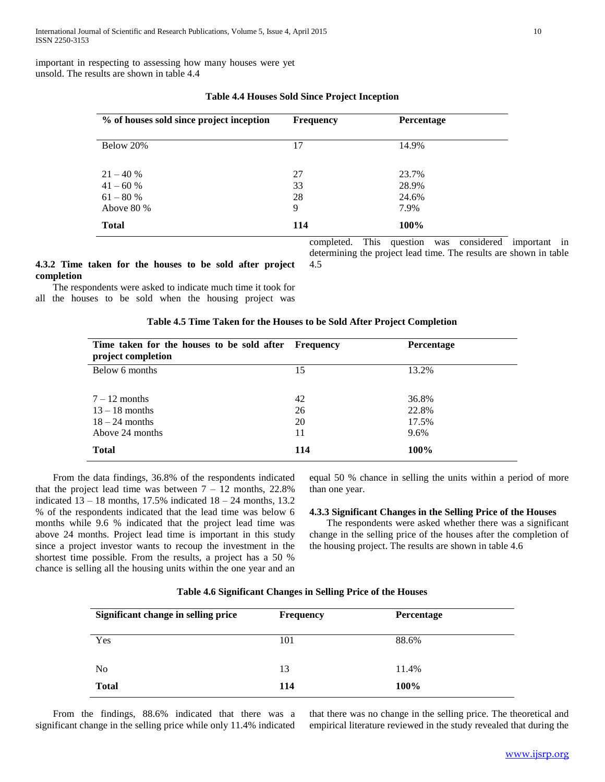important in respecting to assessing how many houses were yet unsold. The results are shown in table 4.4

| % of houses sold since project inception | <b>Frequency</b> | Percentage              |
|------------------------------------------|------------------|-------------------------|
| Below 20%                                | 17               | 14.9%                   |
| $21 - 40%$<br>$41 - 60%$<br>$61 - 80%$   | 27<br>33<br>28   | 23.7%<br>28.9%<br>24.6% |
| Above $80\%$                             | 9                | 7.9%                    |
| <b>Total</b>                             | 114              | 100%                    |

# **Table 4.4 Houses Sold Since Project Inception**

**4.3.2 Time taken for the houses to be sold after project completion**

 The respondents were asked to indicate much time it took for all the houses to be sold when the housing project was

#### **Table 4.5 Time Taken for the Houses to be Sold After Project Completion**

4.5

| Time taken for the houses to be sold after<br>project completion | <b>Frequency</b> | <b>Percentage</b> |
|------------------------------------------------------------------|------------------|-------------------|
| Below 6 months                                                   | 15               | 13.2%             |
| $7-12$ months                                                    | 42               | 36.8%             |
| $13 - 18$ months                                                 | 26               | 22.8%             |
| $18 - 24$ months                                                 | 20               | 17.5%             |
| Above 24 months                                                  | 11               | 9.6%              |
| <b>Total</b>                                                     | 114              | 100%              |

 From the data findings, 36.8% of the respondents indicated that the project lead time was between  $7 - 12$  months, 22.8% indicated  $13 - 18$  months, 17.5% indicated  $18 - 24$  months, 13.2 % of the respondents indicated that the lead time was below 6 months while 9.6 % indicated that the project lead time was above 24 months. Project lead time is important in this study since a project investor wants to recoup the investment in the shortest time possible. From the results, a project has a 50 % chance is selling all the housing units within the one year and an

equal 50 % chance in selling the units within a period of more than one year.

completed. This question was considered important in determining the project lead time. The results are shown in table

#### **4.3.3 Significant Changes in the Selling Price of the Houses**

 The respondents were asked whether there was a significant change in the selling price of the houses after the completion of the housing project. The results are shown in table 4.6

#### **Table 4.6 Significant Changes in Selling Price of the Houses**

| Significant change in selling price | <b>Frequency</b> | Percentage |  |
|-------------------------------------|------------------|------------|--|
| Yes                                 | 101              | 88.6%      |  |
| N <sub>0</sub>                      | 13               | 11.4%      |  |
| <b>Total</b>                        | 114              | 100%       |  |

 From the findings, 88.6% indicated that there was a significant change in the selling price while only 11.4% indicated

that there was no change in the selling price. The theoretical and empirical literature reviewed in the study revealed that during the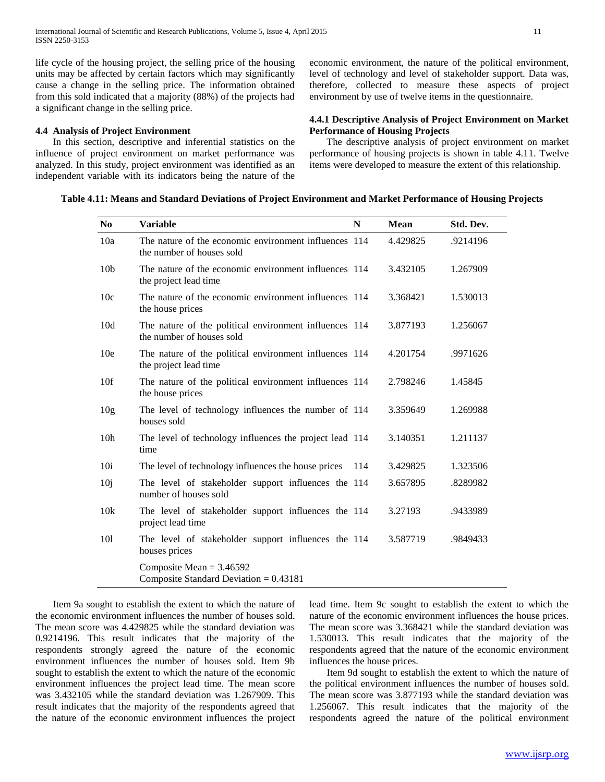life cycle of the housing project, the selling price of the housing units may be affected by certain factors which may significantly cause a change in the selling price. The information obtained from this sold indicated that a majority (88%) of the projects had a significant change in the selling price.

# **4.4 Analysis of Project Environment**

 In this section, descriptive and inferential statistics on the influence of project environment on market performance was analyzed. In this study, project environment was identified as an independent variable with its indicators being the nature of the economic environment, the nature of the political environment, level of technology and level of stakeholder support. Data was, therefore, collected to measure these aspects of project environment by use of twelve items in the questionnaire.

# **4.4.1 Descriptive Analysis of Project Environment on Market Performance of Housing Projects**

 The descriptive analysis of project environment on market performance of housing projects is shown in table 4.11. Twelve items were developed to measure the extent of this relationship.

# **Table 4.11: Means and Standard Deviations of Project Environment and Market Performance of Housing Projects**

| N <sub>0</sub>  | <b>Variable</b>                                                                     | N   | <b>Mean</b> | Std. Dev. |
|-----------------|-------------------------------------------------------------------------------------|-----|-------------|-----------|
| 10a             | The nature of the economic environment influences 114<br>the number of houses sold  |     | 4.429825    | .9214196  |
| 10 <sub>b</sub> | The nature of the economic environment influences 114<br>the project lead time      |     | 3.432105    | 1.267909  |
| 10c             | The nature of the economic environment influences 114<br>the house prices           |     | 3.368421    | 1.530013  |
| 10d             | The nature of the political environment influences 114<br>the number of houses sold |     | 3.877193    | 1.256067  |
| 10 <sub>e</sub> | The nature of the political environment influences 114<br>the project lead time     |     | 4.201754    | .9971626  |
| 10f             | The nature of the political environment influences 114<br>the house prices          |     | 2.798246    | 1.45845   |
| 10 <sub>g</sub> | The level of technology influences the number of 114<br>houses sold                 |     | 3.359649    | 1.269988  |
| 10 <sub>h</sub> | The level of technology influences the project lead 114<br>time                     |     | 3.140351    | 1.211137  |
| 10i             | The level of technology influences the house prices                                 | 114 | 3.429825    | 1.323506  |
| 10j             | The level of stakeholder support influences the 114<br>number of houses sold        |     | 3.657895    | .8289982  |
| 10k             | The level of stakeholder support influences the 114<br>project lead time            |     | 3.27193     | .9433989  |
| 101             | The level of stakeholder support influences the 114<br>houses prices                |     | 3.587719    | .9849433  |
|                 | Composite Mean = $3.46592$<br>Composite Standard Deviation = $0.43181$              |     |             |           |

 Item 9a sought to establish the extent to which the nature of the economic environment influences the number of houses sold. The mean score was 4.429825 while the standard deviation was 0.9214196. This result indicates that the majority of the respondents strongly agreed the nature of the economic environment influences the number of houses sold. Item 9b sought to establish the extent to which the nature of the economic environment influences the project lead time. The mean score was 3.432105 while the standard deviation was 1.267909. This result indicates that the majority of the respondents agreed that the nature of the economic environment influences the project

lead time. Item 9c sought to establish the extent to which the nature of the economic environment influences the house prices. The mean score was 3.368421 while the standard deviation was 1.530013. This result indicates that the majority of the respondents agreed that the nature of the economic environment influences the house prices.

 Item 9d sought to establish the extent to which the nature of the political environment influences the number of houses sold. The mean score was 3.877193 while the standard deviation was 1.256067. This result indicates that the majority of the respondents agreed the nature of the political environment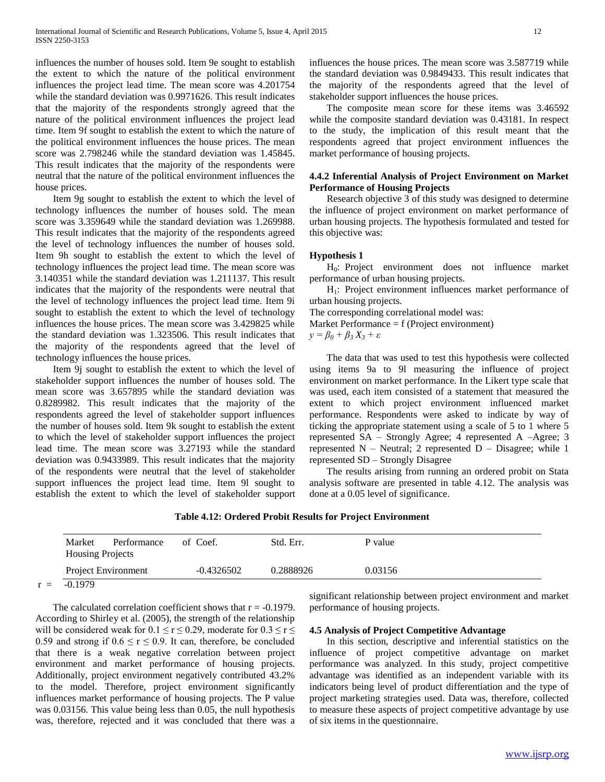influences the number of houses sold. Item 9e sought to establish the extent to which the nature of the political environment influences the project lead time. The mean score was 4.201754 while the standard deviation was 0.9971626. This result indicates that the majority of the respondents strongly agreed that the nature of the political environment influences the project lead time. Item 9f sought to establish the extent to which the nature of the political environment influences the house prices. The mean score was 2.798246 while the standard deviation was 1.45845. This result indicates that the majority of the respondents were neutral that the nature of the political environment influences the house prices.

 Item 9g sought to establish the extent to which the level of technology influences the number of houses sold. The mean score was 3.359649 while the standard deviation was 1.269988. This result indicates that the majority of the respondents agreed the level of technology influences the number of houses sold. Item 9h sought to establish the extent to which the level of technology influences the project lead time. The mean score was 3.140351 while the standard deviation was 1.211137. This result indicates that the majority of the respondents were neutral that the level of technology influences the project lead time. Item 9i sought to establish the extent to which the level of technology influences the house prices. The mean score was 3.429825 while the standard deviation was 1.323506. This result indicates that the majority of the respondents agreed that the level of technology influences the house prices.

 Item 9j sought to establish the extent to which the level of stakeholder support influences the number of houses sold. The mean score was 3.657895 while the standard deviation was 0.8289982. This result indicates that the majority of the respondents agreed the level of stakeholder support influences the number of houses sold. Item 9k sought to establish the extent to which the level of stakeholder support influences the project lead time. The mean score was 3.27193 while the standard deviation was 0.9433989. This result indicates that the majority of the respondents were neutral that the level of stakeholder support influences the project lead time. Item 9l sought to establish the extent to which the level of stakeholder support influences the house prices. The mean score was 3.587719 while the standard deviation was 0.9849433. This result indicates that the majority of the respondents agreed that the level of stakeholder support influences the house prices.

 The composite mean score for these items was 3.46592 while the composite standard deviation was 0.43181. In respect to the study, the implication of this result meant that the respondents agreed that project environment influences the market performance of housing projects.

# **4.4.2 Inferential Analysis of Project Environment on Market Performance of Housing Projects**

 Research objective 3 of this study was designed to determine the influence of project environment on market performance of urban housing projects. The hypothesis formulated and tested for this objective was:

#### **Hypothesis 1**

 H0: Project environment does not influence market performance of urban housing projects.

 H1: Project environment influences market performance of urban housing projects.

The corresponding correlational model was:

Market Performance = f (Project environment)

$$
y = \beta_0 + \beta_3 X_3 + \varepsilon
$$

 The data that was used to test this hypothesis were collected using items 9a to 9l measuring the influence of project environment on market performance. In the Likert type scale that was used, each item consisted of a statement that measured the extent to which project environment influenced market performance. Respondents were asked to indicate by way of ticking the appropriate statement using a scale of 5 to 1 where 5 represented SA – Strongly Agree; 4 represented A –Agree; 3 represented  $N -$  Neutral; 2 represented  $D -$  Disagree; while 1 represented SD – Strongly Disagree

 The results arising from running an ordered probit on Stata analysis software are presented in table 4.12. The analysis was done at a 0.05 level of significance.

#### **Table 4.12: Ordered Probit Results for Project Environment**

| Market<br>Performance<br><b>Housing Projects</b> | of Coef.     | Std. Err. | P value |
|--------------------------------------------------|--------------|-----------|---------|
| <b>Project Environment</b>                       | $-0.4326502$ | 0.2888926 | 0.03156 |
| $-0.1979$                                        |              |           |         |

The calculated correlation coefficient shows that  $r = -0.1979$ . According to Shirley et al. (2005), the strength of the relationship will be considered weak for  $0.1 \le r \le 0.29$ , moderate for  $0.3 \le r \le$ 0.59 and strong if  $0.6 \le r \le 0.9$ . It can, therefore, be concluded that there is a weak negative correlation between project environment and market performance of housing projects. Additionally, project environment negatively contributed 43.2% to the model. Therefore, project environment significantly influences market performance of housing projects. The P value was 0.03156. This value being less than 0.05, the null hypothesis was, therefore, rejected and it was concluded that there was a

significant relationship between project environment and market performance of housing projects.

## **4.5 Analysis of Project Competitive Advantage**

 In this section, descriptive and inferential statistics on the influence of project competitive advantage on market performance was analyzed. In this study, project competitive advantage was identified as an independent variable with its indicators being level of product differentiation and the type of project marketing strategies used. Data was, therefore, collected to measure these aspects of project competitive advantage by use of six items in the questionnaire.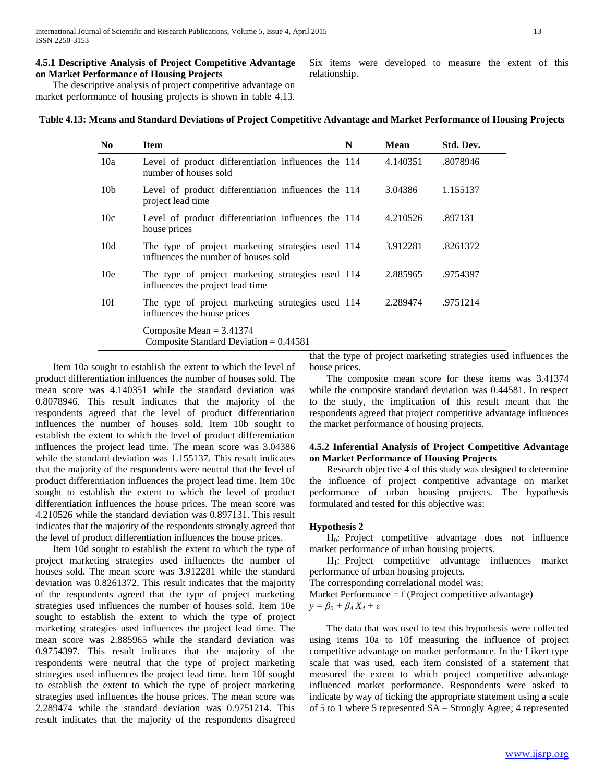# **4.5.1 Descriptive Analysis of Project Competitive Advantage on Market Performance of Housing Projects**

 The descriptive analysis of project competitive advantage on market performance of housing projects is shown in table 4.13. Six items were developed to measure the extent of this relationship.

| N <sub>0</sub>  | <b>Item</b>                                                                               | N | Mean     | Std. Dev. |
|-----------------|-------------------------------------------------------------------------------------------|---|----------|-----------|
| 10a             | Level of product differentiation influences the 114<br>number of houses sold              |   | 4.140351 | .8078946  |
| 10 <sub>b</sub> | Level of product differentiation influences the 114<br>project lead time                  |   | 3.04386  | 1.155137  |
| 10c             | Level of product differentiation influences the 114<br>house prices                       |   | 4.210526 | .897131   |
| 10d             | The type of project marketing strategies used 114<br>influences the number of houses sold |   | 3.912281 | .8261372  |
| 10 <sub>e</sub> | The type of project marketing strategies used 114<br>influences the project lead time     |   | 2.885965 | .9754397  |
| 10f             | The type of project marketing strategies used 114<br>influences the house prices          |   | 2.289474 | .9751214  |
|                 | Composite Mean $= 3.41374$<br>Composite Standard Deviation = $0.44581$                    |   |          |           |

 Item 10a sought to establish the extent to which the level of product differentiation influences the number of houses sold. The mean score was 4.140351 while the standard deviation was 0.8078946. This result indicates that the majority of the respondents agreed that the level of product differentiation influences the number of houses sold. Item 10b sought to establish the extent to which the level of product differentiation influences the project lead time. The mean score was 3.04386 while the standard deviation was 1.155137. This result indicates that the majority of the respondents were neutral that the level of product differentiation influences the project lead time. Item 10c sought to establish the extent to which the level of product differentiation influences the house prices. The mean score was 4.210526 while the standard deviation was 0.897131. This result indicates that the majority of the respondents strongly agreed that the level of product differentiation influences the house prices.

 Item 10d sought to establish the extent to which the type of project marketing strategies used influences the number of houses sold. The mean score was 3.912281 while the standard deviation was 0.8261372. This result indicates that the majority of the respondents agreed that the type of project marketing strategies used influences the number of houses sold. Item 10e sought to establish the extent to which the type of project marketing strategies used influences the project lead time. The mean score was 2.885965 while the standard deviation was 0.9754397. This result indicates that the majority of the respondents were neutral that the type of project marketing strategies used influences the project lead time. Item 10f sought to establish the extent to which the type of project marketing strategies used influences the house prices. The mean score was 2.289474 while the standard deviation was 0.9751214. This result indicates that the majority of the respondents disagreed

that the type of project marketing strategies used influences the house prices.

 The composite mean score for these items was 3.41374 while the composite standard deviation was 0.44581. In respect to the study, the implication of this result meant that the respondents agreed that project competitive advantage influences the market performance of housing projects.

## **4.5.2 Inferential Analysis of Project Competitive Advantage on Market Performance of Housing Projects**

 Research objective 4 of this study was designed to determine the influence of project competitive advantage on market performance of urban housing projects. The hypothesis formulated and tested for this objective was:

# **Hypothesis 2**

 H0: Project competitive advantage does not influence market performance of urban housing projects.

 H1: Project competitive advantage influences market performance of urban housing projects.

The corresponding correlational model was:

Market Performance  $= f$  (Project competitive advantage)

*y = β<sup>0</sup> + β<sup>4</sup> X<sup>4</sup> + ε*

 The data that was used to test this hypothesis were collected using items 10a to 10f measuring the influence of project competitive advantage on market performance. In the Likert type scale that was used, each item consisted of a statement that measured the extent to which project competitive advantage influenced market performance. Respondents were asked to indicate by way of ticking the appropriate statement using a scale of 5 to 1 where 5 represented SA – Strongly Agree; 4 represented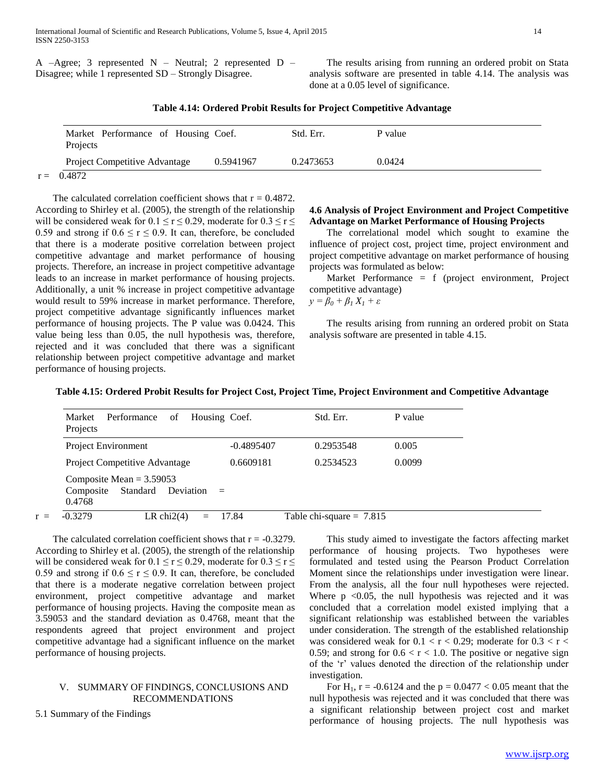|  |                                                       |  | A $-A$ gree; 3 represented N – Neutral; 2 represented D – |  |
|--|-------------------------------------------------------|--|-----------------------------------------------------------|--|
|  | Disagree; while 1 represented SD – Strongly Disagree. |  |                                                           |  |

 The results arising from running an ordered probit on Stata analysis software are presented in table 4.14. The analysis was done at a 0.05 level of significance.

|  |  |  | Table 4.14: Ordered Probit Results for Project Competitive Advantage |
|--|--|--|----------------------------------------------------------------------|
|--|--|--|----------------------------------------------------------------------|

| Market Performance of Housing Coef.<br>Projects |           | Std. Err. | P value |  |
|-------------------------------------------------|-----------|-----------|---------|--|
| <b>Project Competitive Advantage</b>            | 0.5941967 | 0.2473653 | 0.0424  |  |
| 0.4872                                          |           |           |         |  |

The calculated correlation coefficient shows that  $r = 0.4872$ . According to Shirley et al. (2005), the strength of the relationship will be considered weak for  $0.1 \le r \le 0.29$ , moderate for  $0.3 \le r \le$ 0.59 and strong if  $0.6 \le r \le 0.9$ . It can, therefore, be concluded that there is a moderate positive correlation between project competitive advantage and market performance of housing projects. Therefore, an increase in project competitive advantage leads to an increase in market performance of housing projects. Additionally, a unit % increase in project competitive advantage would result to 59% increase in market performance. Therefore, project competitive advantage significantly influences market performance of housing projects. The P value was 0.0424. This value being less than 0.05, the null hypothesis was, therefore, rejected and it was concluded that there was a significant relationship between project competitive advantage and market performance of housing projects.

# **4.6 Analysis of Project Environment and Project Competitive Advantage on Market Performance of Housing Projects**

 The correlational model which sought to examine the influence of project cost, project time, project environment and project competitive advantage on market performance of housing projects was formulated as below:

 Market Performance = f (project environment, Project competitive advantage) *y* =  $β$ <sup>0</sup> +  $β$ <sup>1</sup>  $X$ <sup>1</sup> + ε

 The results arising from running an ordered probit on Stata analysis software are presented in table 4.15.

| Table 4.15: Ordered Probit Results for Project Cost, Project Time, Project Environment and Competitive Advantage |  |  |
|------------------------------------------------------------------------------------------------------------------|--|--|
|                                                                                                                  |  |  |

| Market<br>Performance<br>of<br>Projects                                    | Housing Coef. | Std. Err.                  | P value |
|----------------------------------------------------------------------------|---------------|----------------------------|---------|
| Project Environment                                                        | $-0.4895407$  | 0.2953548                  | 0.005   |
| Project Competitive Advantage                                              | 0.6609181     | 0.2534523                  | 0.0099  |
| Composite Mean $= 3.59053$<br>Standard<br>Composite<br>Deviation<br>0.4768 | $\equiv$      |                            |         |
| $-0.3279$<br>LR chi $2(4)$                                                 | 17.84         | Table chi-square = $7.815$ |         |

The calculated correlation coefficient shows that  $r = -0.3279$ . According to Shirley et al. (2005), the strength of the relationship will be considered weak for  $0.1 \le r \le 0.29$ , moderate for  $0.3 \le r \le$ 0.59 and strong if  $0.6 \le r \le 0.9$ . It can, therefore, be concluded that there is a moderate negative correlation between project environment, project competitive advantage and market performance of housing projects. Having the composite mean as 3.59053 and the standard deviation as 0.4768, meant that the respondents agreed that project environment and project competitive advantage had a significant influence on the market performance of housing projects.

# V. SUMMARY OF FINDINGS, CONCLUSIONS AND RECOMMENDATIONS

5.1 Summary of the Findings

 This study aimed to investigate the factors affecting market performance of housing projects. Two hypotheses were formulated and tested using the Pearson Product Correlation Moment since the relationships under investigation were linear. From the analysis, all the four null hypotheses were rejected. Where  $p \le 0.05$ , the null hypothesis was rejected and it was concluded that a correlation model existed implying that a significant relationship was established between the variables under consideration. The strength of the established relationship was considered weak for  $0.1 < r < 0.29$ ; moderate for  $0.3 < r <$ 0.59; and strong for  $0.6 < r < 1.0$ . The positive or negative sign of the 'r' values denoted the direction of the relationship under investigation.

For H<sub>1</sub>,  $r = -0.6124$  and the  $p = 0.0477 < 0.05$  meant that the null hypothesis was rejected and it was concluded that there was a significant relationship between project cost and market performance of housing projects. The null hypothesis was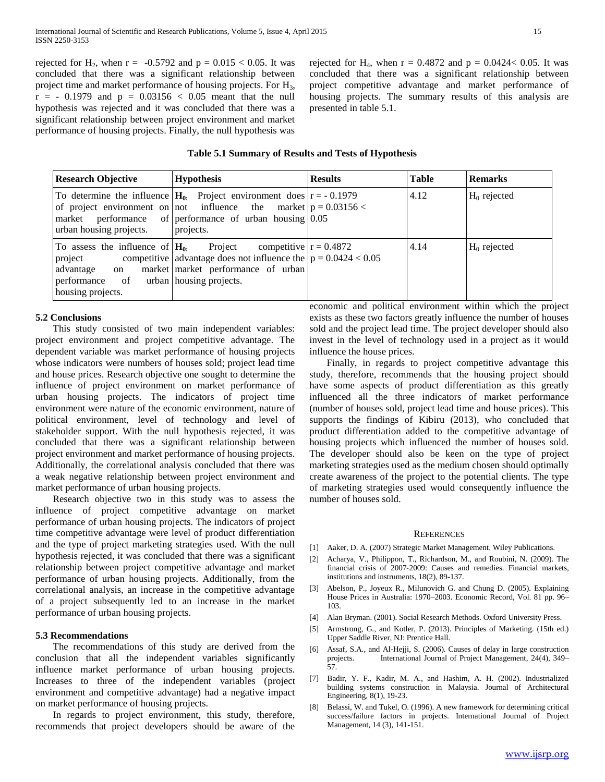rejected for H<sub>2</sub>, when r = -0.5792 and p =  $0.015 < 0.05$ . It was concluded that there was a significant relationship between project time and market performance of housing projects. For H<sub>3</sub>,  $r = -0.1979$  and  $p = 0.03156 < 0.05$  meant that the null hypothesis was rejected and it was concluded that there was a significant relationship between project environment and market performance of housing projects. Finally, the null hypothesis was

rejected for H<sub>4</sub>, when  $r = 0.4872$  and  $p = 0.0424 < 0.05$ . It was concluded that there was a significant relationship between project competitive advantage and market performance of housing projects. The summary results of this analysis are presented in table 5.1.

| <b>Research Objective</b>                                   | <b>Hypothesis</b>                                                                                                                                                                                                         | <b>Results</b> | <b>Table</b> | <b>Remarks</b> |
|-------------------------------------------------------------|---------------------------------------------------------------------------------------------------------------------------------------------------------------------------------------------------------------------------|----------------|--------------|----------------|
| urban housing projects.                                     | To determine the influence $H_0$ . Project environment does $r = -0.1979$<br>of project environment on not influence the market $p = 0.03156$ <<br>market performance of performance of urban housing $0.05$<br>projects. |                | 4.12         | $H_0$ rejected |
| performance of urban housing projects.<br>housing projects. | To assess the influence of $H_0$ . Project competitive $r = 0.4872$<br>project competitive advantage does not influence the $p = 0.0424 < 0.05$<br>advantage on market market performance of urban                        |                | 4.14         | $H_0$ rejected |

### **5.2 Conclusions**

 This study consisted of two main independent variables: project environment and project competitive advantage. The dependent variable was market performance of housing projects whose indicators were numbers of houses sold; project lead time and house prices. Research objective one sought to determine the influence of project environment on market performance of urban housing projects. The indicators of project time environment were nature of the economic environment, nature of political environment, level of technology and level of stakeholder support. With the null hypothesis rejected, it was concluded that there was a significant relationship between project environment and market performance of housing projects. Additionally, the correlational analysis concluded that there was a weak negative relationship between project environment and market performance of urban housing projects.

 Research objective two in this study was to assess the influence of project competitive advantage on market performance of urban housing projects. The indicators of project time competitive advantage were level of product differentiation and the type of project marketing strategies used. With the null hypothesis rejected, it was concluded that there was a significant relationship between project competitive advantage and market performance of urban housing projects. Additionally, from the correlational analysis, an increase in the competitive advantage of a project subsequently led to an increase in the market performance of urban housing projects.

#### **5.3 Recommendations**

 The recommendations of this study are derived from the conclusion that all the independent variables significantly influence market performance of urban housing projects. Increases to three of the independent variables (project environment and competitive advantage) had a negative impact on market performance of housing projects.

 In regards to project environment, this study, therefore, recommends that project developers should be aware of the economic and political environment within which the project exists as these two factors greatly influence the number of houses sold and the project lead time. The project developer should also invest in the level of technology used in a project as it would influence the house prices.

 Finally, in regards to project competitive advantage this study, therefore, recommends that the housing project should have some aspects of product differentiation as this greatly influenced all the three indicators of market performance (number of houses sold, project lead time and house prices). This supports the findings of Kibiru (2013), who concluded that product differentiation added to the competitive advantage of housing projects which influenced the number of houses sold. The developer should also be keen on the type of project marketing strategies used as the medium chosen should optimally create awareness of the project to the potential clients. The type of marketing strategies used would consequently influence the number of houses sold.

#### **REFERENCES**

- [1] Aaker, D. A. (2007) Strategic Market Management. Wiley Publications.
- [2] Acharya, V., Philippon, T., Richardson, M., and Roubini, N. (2009). The financial crisis of 2007‐2009: Causes and remedies. Financial markets, institutions and instruments, 18(2), 89-137.
- [3] Abelson, P., Joyeux R., Milunovich G. and Chung D. (2005). Explaining House Prices in Australia: 1970–2003. Economic Record, Vol. 81 pp. 96– 103.
- [4] Alan Bryman. (2001). Social Research Methods. Oxford University Press.
- [5] Armstrong, G., and Kotler, P. (2013). Principles of Marketing. (15th ed.) Upper Saddle River, NJ: Prentice Hall.
- [6] Assaf, S.A., and Al-Hejji, S. (2006). Causes of delay in large construction International Journal of Project Management, 24(4), 349– 57.
- [7] Badir, Y. F., Kadir, M. A., and Hashim, A. H. (2002). Industrialized building systems construction in Malaysia. Journal of Architectural Engineering, 8(1), 19-23.
- [8] Belassi, W. and Tukel, O. (1996). A new framework for determining critical success/failure factors in projects. International Journal of Project Management, 14 (3), 141-151.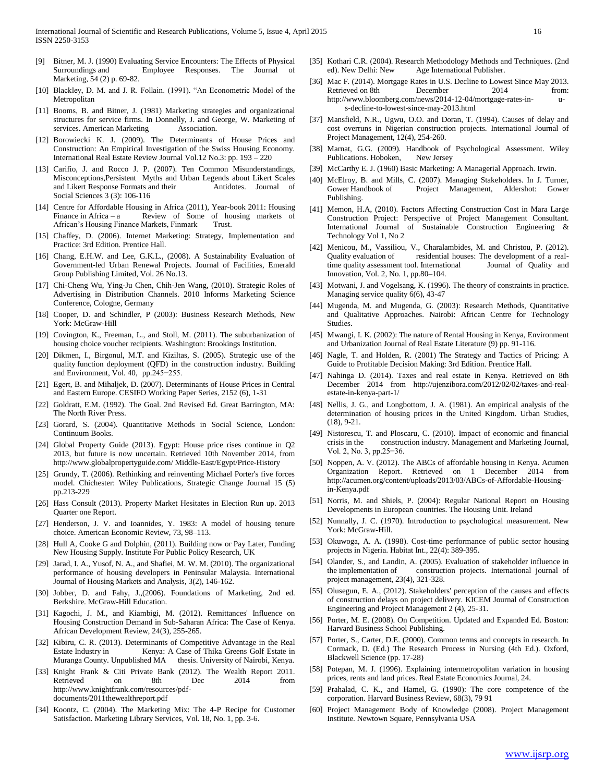- [9] Bitner, M. J. (1990) Evaluating Service Encounters: The Effects of Physical Surroundings and Employee Responses. The Journal of Marketing, 54 (2) p. 69-82.
- [10] Blackley, D. M. and J. R. Follain. (1991). "An Econometric Model of the Metropolitan
- [11] Booms, B. and Bitner, J. (1981) Marketing strategies and organizational structures for service firms. In Donnelly, J. and George, W. Marketing of services. American Marketing **Association**.
- [12] Borowiecki K. J. (2009). The Determinants of House Prices and Construction: An Empirical Investigation of the Swiss Housing Economy. International Real Estate Review Journal Vol.12 No.3: pp. 193 – 220
- [13] Carifio, J. and Rocco J. P. (2007). Ten Common Misunderstandings, Misconceptions,Persistent Myths and Urban Legends about Likert Scales and Likert Response Formats and their Antidotes. Journal of Social Sciences 3 (3): 106-116
- [14] Centre for Affordable Housing in Africa (2011), Year-book 2011: Housing Finance in Africa – a Review of Some of housing markets of African's Housing Finance Markets, Finmark Trust.
- [15] Chaffey, D. (2006). Internet Marketing: Strategy, Implementation and Practice: 3rd Edition. Prentice Hall.
- [16] Chang, E.H.W. and Lee, G.K.L., (2008). A Sustainability Evaluation of Government-led Urban Renewal Projects. Journal of Facilities, Emerald Group Publishing Limited, Vol. 26 No.13.
- [17] Chi-Cheng Wu, Ying-Ju Chen, Chih-Jen Wang, (2010). Strategic Roles of Advertising in Distribution Channels. 2010 Informs Marketing Science Conference, Cologne, Germany
- [18] Cooper, D. and Schindler, P (2003): Business Research Methods, New York: McGraw-Hill
- [19] Covington, K., Freeman, L., and Stoll, M. (2011). The suburbanization of housing choice voucher recipients. Washington: Brookings Institution.
- [20] Dikmen, I., Birgonul, M.T. and Kiziltas, S. (2005). Strategic use of the quality function deployment (QFD) in the construction industry. Building and Environment, Vol. 40, pp.245−255.
- [21] Egert, B. and Mihaljek, D. (2007). Determinants of House Prices in Central and Eastern Europe. CESIFO Working Paper Series, 2152 (6), 1-31
- [22] Goldratt, E.M. (1992). The Goal. 2nd Revised Ed. Great Barrington, MA: The North River Press.
- [23] Gorard, S. (2004). Quantitative Methods in Social Science, London: Continuum Books.
- [24] Global Property Guide (2013). Egypt: House price rises continue in Q2 2013, but future is now uncertain. Retrieved 10th November 2014, from http://www.globalpropertyguide.com/ Middle-East/Egypt/Price-History
- [25] Grundy, T. (2006). Rethinking and reinventing Michael Porter's five forces model. Chichester: Wiley Publications, Strategic Change Journal 15 (5) pp.213-229
- [26] Hass Consult (2013). Property Market Hesitates in Election Run up. 2013 Quarter one Report.
- [27] Henderson, J. V. and Ioannides, Y. 1983: A model of housing tenure choice. American Economic Review, 73, 98–113.
- [28] Hull A, Cooke G and Dolphin, (2011). Building now or Pay Later, Funding New Housing Supply. Institute For Public Policy Research, UK
- [29] Jarad, I. A., Yusof, N. A., and Shafiei, M. W. M. (2010). The organizational performance of housing developers in Peninsular Malaysia. International Journal of Housing Markets and Analysis, 3(2), 146-162.
- [30] Jobber, D. and Fahy, J.,(2006). Foundations of Marketing, 2nd ed. Berkshire. McGraw-Hill Education.
- [31] Kagochi, J. M., and Kiambigi, M. (2012). Remittances' Influence on Housing Construction Demand in Sub‐Saharan Africa: The Case of Kenya. African Development Review, 24(3), 255-265.
- [32] Kibiru, C. R. (2013). Determinants of Competitive Advantage in the Real Estate Industry in Kenya: A Case of Thika Greens Golf Estate in Muranga County. Unpublished MA thesis. University of Nairobi, Kenya.
- [33] Knight Frank & Citi Private Bank (2012). The Wealth Report 2011. Retrieved on 8th Dec 2014 from http://www.knightfrank.com/resources/pdfdocuments/2011thewealthreport.pdf
- [34] Koontz, C. (2004). The Marketing Mix: The 4-P Recipe for Customer Satisfaction. Marketing Library Services, Vol. 18, No. 1, pp. 3-6.
- [35] Kothari C.R. (2004). Research Methodology Methods and Techniques. (2nd ed). New Delhi: New Age International Publisher.
- [36] Mac F. (2014). Mortgage Rates in U.S. Decline to Lowest Since May 2013. Retrieved on 8th December 2014 from: http://www.bloomberg.com/news/2014-12-04/mortgage-rates-in- us-decline-to-lowest-since-may-2013.html
- [37] Mansfield, N.R., Ugwu, O.O. and Doran, T. (1994). Causes of delay and cost overruns in Nigerian construction projects. International Journal of Project Management, 12(4), 254-260.
- [38] Marnat, G.G. (2009). Handbook of Psychological Assessment. Wiley Publications. Hoboken, New Jersey
- [39] McCarthy E. J. (1960) Basic Marketing: A Managerial Approach. Irwin.
- [40] McElroy, B. and Mills, C. (2007). Managing Stakeholders. In J. Turner, Gower Handbook of Project Management, Aldershot: Gower Publishing.
- [41] Memon, H.A, (2010). Factors Affecting Construction Cost in Mara Large Construction Project: Perspective of Project Management Consultant. International Journal of Sustainable Construction Engineering & Technology Vol 1, No 2
- [42] Menicou, M., Vassiliou, V., Charalambides, M. and Christou, P. (2012). Quality evaluation of residential houses: The development of a realtime quality assessment tool. International Journal of Quality and Innovation, Vol. 2, No. 1, pp.80–104.
- [43] Motwani, J. and Vogelsang, K. (1996). The theory of constraints in practice. Managing service quality 6(6), 43-47
- [44] Mugenda, M. and Mugenda, G. (2003): Research Methods, Quantitative and Qualitative Approaches. Nairobi: African Centre for Technology Studies.
- [45] Mwangi, I. K. (2002): The nature of Rental Housing in Kenya, Environment and Urbanization Journal of Real Estate Literature (9) pp. 91-116.
- [46] Nagle, T. and Holden, R. (2001) The Strategy and Tactics of Pricing: A Guide to Profitable Decision Making: 3rd Edition. Prentice Hall.
- [47] Nahinga D. (2014). Taxes and real estate in Kenya. Retrieved on 8th December 2014 from http://ujenzibora.com/2012/02/02/taxes-and-realestate-in-kenya-part-1/
- [48] Nellis, J. G., and Longbottom, J. A. (1981). An empirical analysis of the determination of housing prices in the United Kingdom. Urban Studies, (18), 9-21.
- [49] Nistorescu, T. and Ploscaru, C. (2010). Impact of economic and financial crisis in the construction industry. Management and Marketing Journal, Vol. 2, No. 3, pp.25−36.
- [50] Noppen, A. V. (2012). The ABCs of affordable housing in Kenya. Acumen Organization Report. Retrieved on 1 December 2014 from http://acumen.org/content/uploads/2013/03/ABCs-of-Affordable-Housingin-Kenya.pdf
- [51] Norris, M. and Shiels, P. (2004): Regular National Report on Housing Developments in European countries. The Housing Unit. Ireland
- [52] Nunnally, J. C. (1970). Introduction to psychological measurement. New York: McGraw-Hill.
- [53] Okuwoga, A. A. (1998). Cost-time performance of public sector housing projects in Nigeria. Habitat Int., 22(4): 389-395.
- [54] Olander, S., and Landin, A. (2005). Evaluation of stakeholder influence in the implementation of construction projects. International journal of project management, 23(4), 321-328.
- [55] Olusegun, E. A., (2012). Stakeholders' perception of the causes and effects of construction delays on project delivery. KICEM Journal of Construction Engineering and Project Management 2 (4), 25-31.
- [56] Porter, M. E. (2008). On Competition. Updated and Expanded Ed. Boston: Harvard Business School Publishing.
- [57] Porter, S., Carter, D.E. (2000). Common terms and concepts in research. In Cormack, D. (Ed.) The Research Process in Nursing (4th Ed.). Oxford, Blackwell Science (pp. 17-28)
- Potepan, M. J. (1996). Explaining intermetropolitan variation in housing prices, rents and land prices. Real Estate Economics Journal, 24.
- Prahalad, C. K., and Hamel, G. (1990): The core competence of the corporation. Harvard Business Review, 68(3), 79 91
- [60] Project Management Body of Knowledge (2008). Project Management Institute. Newtown Square, Pennsylvania USA